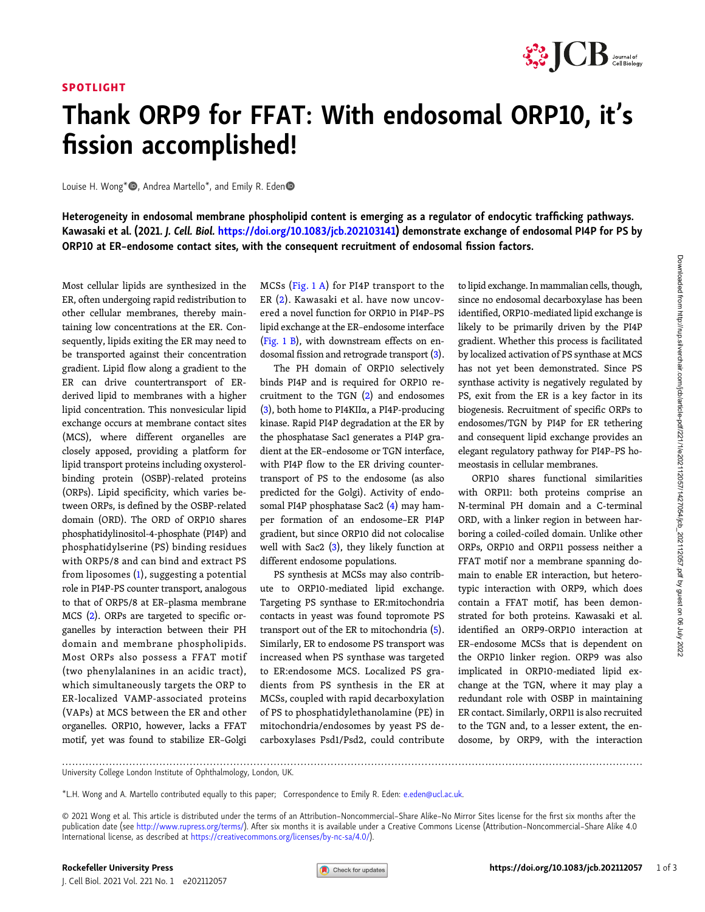## SPOTLIGHT



## Thank ORP9 for FFAT: With endosomal ORP10, it' s fission accomplished!

Louise H. Wong\*<sup>®</sup>, Andrea Martello<sup>\*</sup>, and Emily R. Eden<sup>®</sup>

Heterogeneity in endosomal membrane phospholipid content is emerging as a regulator of endocytic trafficking pathways. Kawasaki et al. (2021. J. Cell. Biol. [https://doi.org/10.1083/jcb.202103141\)](https://doi.org/10.1083/jcb.202103141) demonstrate exchange of endosomal PI4P for PS by ORP10 at ER–endosome contact sites, with the consequent recruitment of endosomal fission factors.

Most cellular lipids are synthesized in the ER, often undergoing rapid redistribution to other cellular membranes, thereby maintaining low concentrations at the ER. Consequently, lipids exiting the ER may need to be transported against their concentration gradient. Lipid flow along a gradient to the ER can drive countertransport of ERderived lipid to membranes with a higher lipid concentration. This nonvesicular lipid exchange occurs at membrane contact sites (MCS), where different organelles are closely apposed, providing a platform for lipid transport proteins including oxysterolbinding protein (OSBP)-related proteins (ORPs). Lipid specificity, which varies between ORPs, is defined by the OSBP-related domain (ORD). The ORD of ORP10 shares phosphatidylinositol-4-phosphate (PI4P) and phosphatidylserine (PS) binding residues with ORP5/8 and can bind and extract PS from liposomes ([1](#page-2-0)), suggesting a potential role in PI4P-PS counter transport, analogous to that of ORP5/8 at ER–plasma membrane MCS ([2](#page-2-0)). ORPs are targeted to specific organelles by interaction between their PH domain and membrane phospholipids. Most ORPs also possess a FFAT motif (two phenylalanines in an acidic tract), which simultaneously targets the ORP to ER-localized VAMP-associated proteins (VAPs) at MCS between the ER and other organelles. ORP10, however, lacks a FFAT motif, yet was found to stabilize ER–Golgi

MCSs ([Fig. 1 A](#page-1-0)) for PI4P transport to the ER ([2](#page-2-0)). Kawasaki et al. have now uncovered a novel function for ORP10 in PI4P–PS lipid exchange at the ER–endosome interface [\(Fig. 1 B\)](#page-1-0), with downstream effects on endosomal fission and retrograde transport ([3\)](#page-2-0).

The PH domain of ORP10 selectively binds PI4P and is required for ORP10 recruitment to the TGN  $(2)$  $(2)$  and endosomes [\(3](#page-2-0)), both home to PI4KIIα, a PI4P-producing kinase. Rapid PI4P degradation at the ER by the phosphatase Sac1 generates a PI4P gradient at the ER–endosome or TGN interface, with PI4P flow to the ER driving countertransport of PS to the endosome (as also predicted for the Golgi). Activity of endosomal PI4P phosphatase Sac2 ([4\)](#page-2-0) may hamper formation of an endosome–ER PI4P gradient, but since ORP10 did not colocalise well with Sac2  $(3)$ , they likely function at different endosome populations.

PS synthesis at MCSs may also contribute to ORP10-mediated lipid exchange. Targeting PS synthase to ER:mitochondria contacts in yeast was found topromote PS transport out of the ER to mitochondria [\(5\)](#page-2-0). Similarly, ER to endosome PS transport was increased when PS synthase was targeted to ER:endosome MCS. Localized PS gradients from PS synthesis in the ER at MCSs, coupled with rapid decarboxylation of PS to phosphatidylethanolamine (PE) in mitochondria/endosomes by yeast PS decarboxylases Psd1/Psd2, could contribute to lipid exchange. In mammalian cells, though, since no endosomal decarboxylase has been identified, ORP10-mediated lipid exchange is likely to be primarily driven by the PI4P gradient. Whether this process is facilitated by localized activation of PS synthase at MCS has not yet been demonstrated. Since PS synthase activity is negatively regulated by PS, exit from the ER is a key factor in its biogenesis. Recruitment of specific ORPs to endosomes/TGN by PI4P for ER tethering and consequent lipid exchange provides an elegant regulatory pathway for PI4P–PS homeostasis in cellular membranes.

ORP10 shares functional similarities with ORP11: both proteins comprise an N-terminal PH domain and a C-terminal ORD, with a linker region in between harboring a coiled-coiled domain. Unlike other ORPs, ORP10 and ORP11 possess neither a FFAT motif nor a membrane spanning domain to enable ER interaction, but heterotypic interaction with ORP9, which does contain a FFAT motif, has been demonstrated for both proteins. Kawasaki et al. identified an ORP9-ORP10 interaction at ER–endosome MCSs that is dependent on the ORP10 linker region. ORP9 was also implicated in ORP10-mediated lipid exchange at the TGN, where it may play a redundant role with OSBP in maintaining ER contact. Similarly, ORP11 is also recruited to the TGN and, to a lesser extent, the endosome, by ORP9, with the interaction

.............................................................................................................................................................................

\*L.H. Wong and A. Martello contributed equally to this paper; Correspondence to Emily R. Eden: [e.eden@ucl.ac.uk](mailto:e.eden@ucl.ac.uk).

© 2021 Wong et al. This article is distributed under the terms of an Attribution–Noncommercial–Share Alike–No Mirror Sites license for the first six months after the publication date (see [http://www.rupress.org/terms/\)](http://www.rupress.org/terms/). After six months it is available under a Creative Commons License (Attribution-Noncommercial-Share Alike 4.0 International license, as described at <https://creativecommons.org/licenses/by-nc-sa/4.0/>).

University College London Institute of Ophthalmology, London, UK.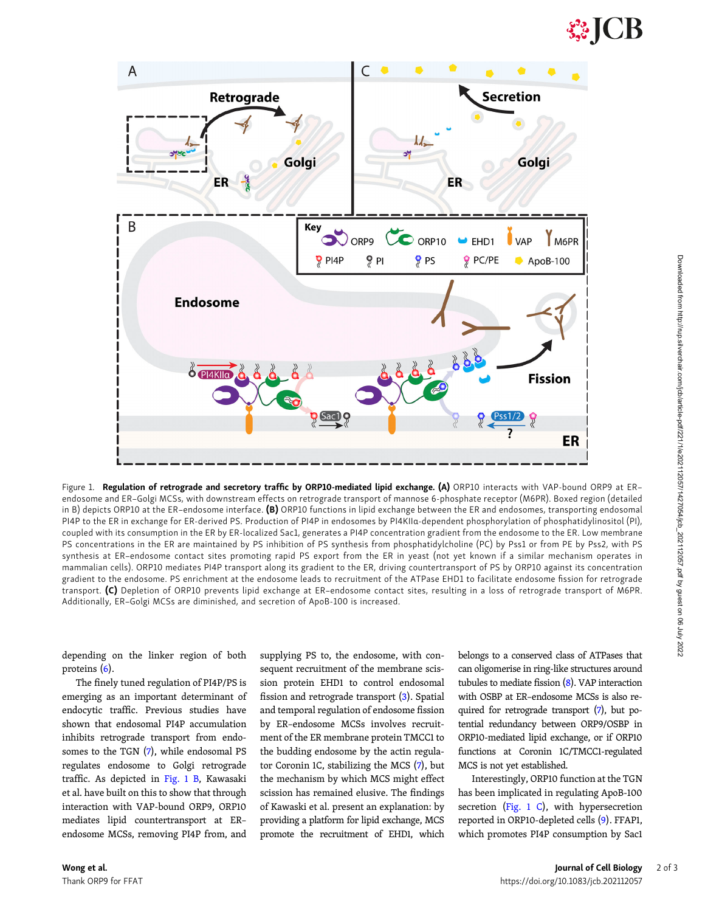<span id="page-1-0"></span>

Figure 1. Regulation of retrograde and secretory traffic by ORP10-mediated lipid exchange. (A) ORP10 interacts with VAP-bound ORP9 at ERendosome and ER–Golgi MCSs, with downstream effects on retrograde transport of mannose 6-phosphate receptor (M6PR). Boxed region (detailed in B) depicts ORP10 at the ER-endosome interface. (B) ORP10 functions in lipid exchange between the ER and endosomes, transporting endosomal PI4P to the ER in exchange for ER-derived PS. Production of PI4P in endosomes by PI4KIIa-dependent phosphorylation of phosphatidylinositol (PI), coupled with its consumption in the ER by ER-localized Sac1, generates a PI4P concentration gradient from the endosome to the ER. Low membrane PS concentrations in the ER are maintained by PS inhibition of PS synthesis from phosphatidylcholine (PC) by Pss1 or from PE by Pss2, with PS synthesis at ER–endosome contact sites promoting rapid PS export from the ER in yeast (not yet known if a similar mechanism operates in mammalian cells). ORP10 mediates PI4P transport along its gradient to the ER, driving countertransport of PS by ORP10 against its concentration gradient to the endosome. PS enrichment at the endosome leads to recruitment of the ATPase EHD1 to facilitate endosome fission for retrograde transport. (C) Depletion of ORP10 prevents lipid exchange at ER–endosome contact sites, resulting in a loss of retrograde transport of M6PR. Additionally, ER–Golgi MCSs are diminished, and secretion of ApoB-100 is increased.

depending on the linker region of both proteins ([6](#page-2-0)).

The finely tuned regulation of PI4P/PS is emerging as an important determinant of endocytic traffic. Previous studies have shown that endosomal PI4P accumulation inhibits retrograde transport from endosomes to the TGN [\(7](#page-2-0)), while endosomal PS regulates endosome to Golgi retrograde traffic. As depicted in Fig. 1 B, Kawasaki et al. have built on this to show that through interaction with VAP-bound ORP9, ORP10 mediates lipid countertransport at ER– endosome MCSs, removing PI4P from, and

supplying PS to, the endosome, with consequent recruitment of the membrane scission protein EHD1 to control endosomal fission and retrograde transport [\(3](#page-2-0)). Spatial and temporal regulation of endosome fission by ER–endosome MCSs involves recruitment of the ER membrane protein TMCC1 to the budding endosome by the actin regulator Coronin 1C, stabilizing the MCS [\(7\)](#page-2-0), but the mechanism by which MCS might effect scission has remained elusive. The findings of Kawaski et al. present an explanation: by providing a platform for lipid exchange, MCS promote the recruitment of EHD1, which

belongs to a conserved class of ATPases that can oligomerise in ring-like structures around tubules to mediate fission [\(8\)](#page-2-0). VAP interaction with OSBP at ER–endosome MCSs is also required for retrograde transport ([7](#page-2-0)), but potential redundancy between ORP9/OSBP in ORP10-mediated lipid exchange, or if ORP10 functions at Coronin 1C/TMCC1-regulated MCS is not yet established.

Interestingly, ORP10 function at the TGN has been implicated in regulating ApoB-100 secretion (Fig. 1 C), with hypersecretion reported in ORP10-depleted cells [\(9](#page-2-0)). FFAP1, which promotes PI4P consumption by Sac1